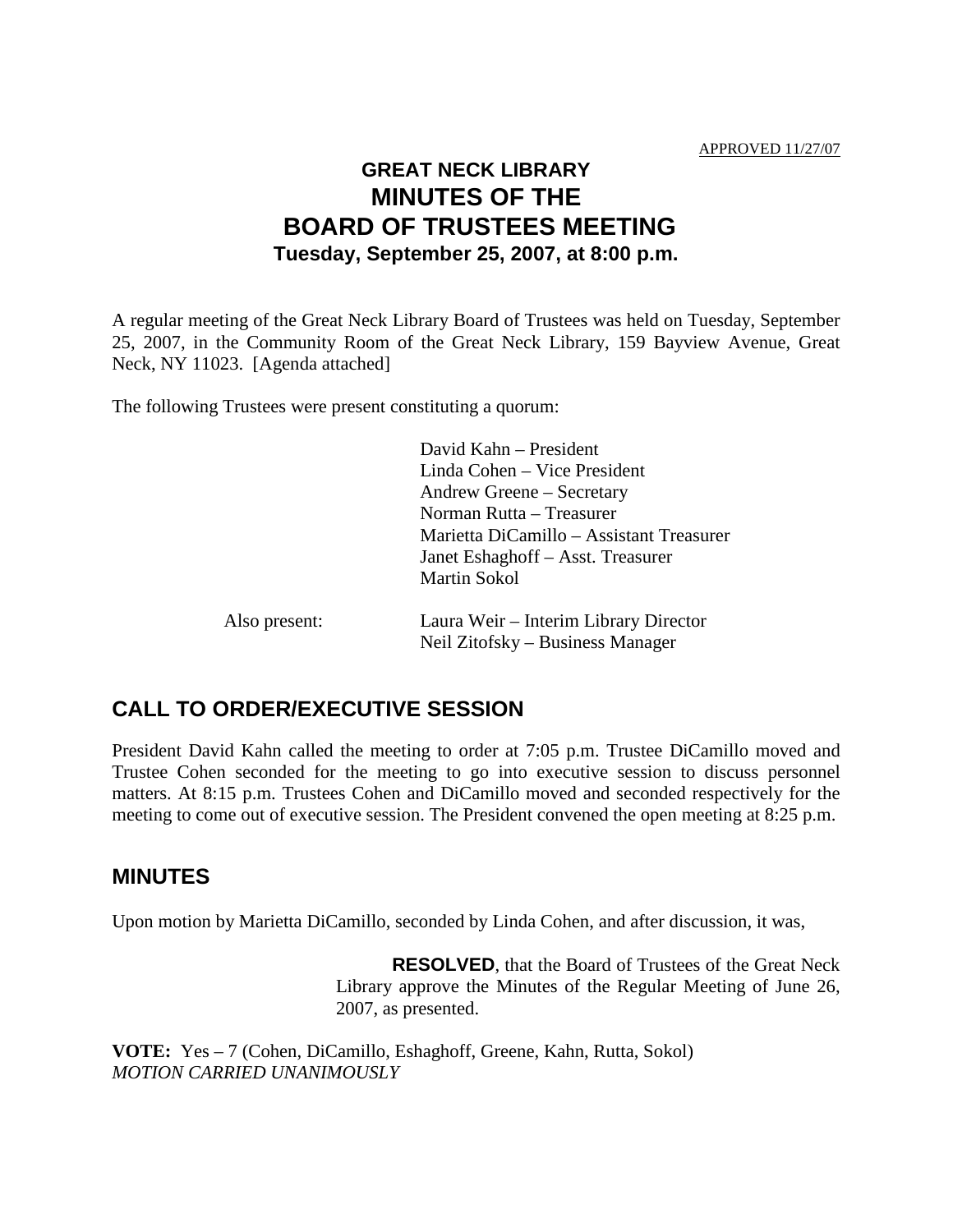## **GREAT NECK LIBRARY MINUTES OF THE BOARD OF TRUSTEES MEETING Tuesday, September 25, 2007, at 8:00 p.m.**

A regular meeting of the Great Neck Library Board of Trustees was held on Tuesday, September 25, 2007, in the Community Room of the Great Neck Library, 159 Bayview Avenue, Great Neck, NY 11023. [Agenda attached]

The following Trustees were present constituting a quorum:

|               | David Kahn – President                   |
|---------------|------------------------------------------|
|               | Linda Cohen – Vice President             |
|               | Andrew Greene – Secretary                |
|               | Norman Rutta - Treasurer                 |
|               | Marietta DiCamillo – Assistant Treasurer |
|               | Janet Eshaghoff – Asst. Treasurer        |
|               | <b>Martin Sokol</b>                      |
| Also present: | Laura Weir – Interim Library Director    |
|               | Neil Zitofsky – Business Manager         |
|               |                                          |

## **CALL TO ORDER/EXECUTIVE SESSION**

President David Kahn called the meeting to order at 7:05 p.m. Trustee DiCamillo moved and Trustee Cohen seconded for the meeting to go into executive session to discuss personnel matters. At 8:15 p.m. Trustees Cohen and DiCamillo moved and seconded respectively for the meeting to come out of executive session. The President convened the open meeting at 8:25 p.m.

## **MINUTES**

Upon motion by Marietta DiCamillo, seconded by Linda Cohen, and after discussion, it was,

**RESOLVED**, that the Board of Trustees of the Great Neck Library approve the Minutes of the Regular Meeting of June 26, 2007, as presented.

**VOTE:** Yes – 7 (Cohen, DiCamillo, Eshaghoff, Greene, Kahn, Rutta, Sokol) *MOTION CARRIED UNANIMOUSLY*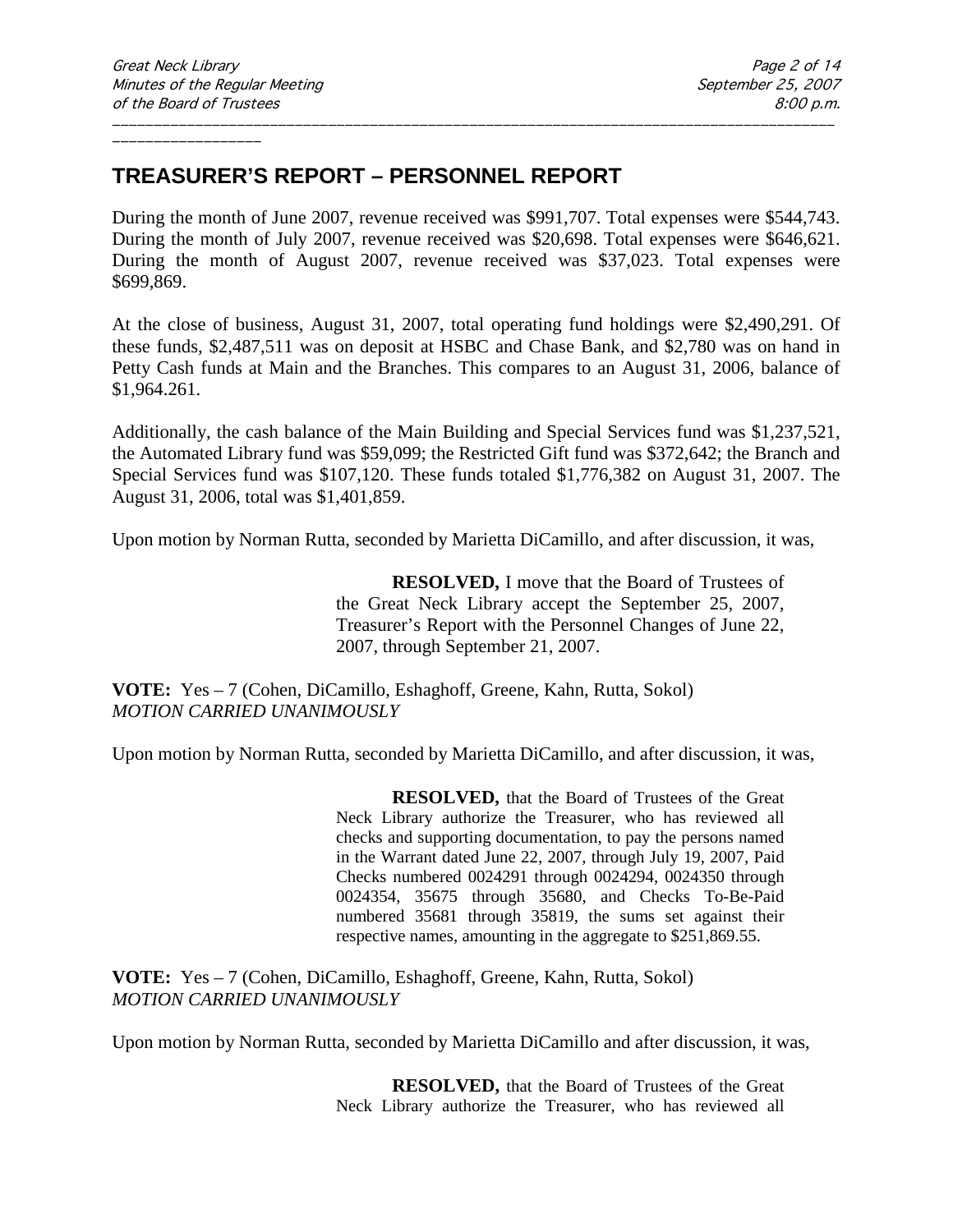## **TREASURER'S REPORT – PERSONNEL REPORT**

During the month of June 2007, revenue received was \$991,707. Total expenses were \$544,743. During the month of July 2007, revenue received was \$20,698. Total expenses were \$646,621. During the month of August 2007, revenue received was \$37,023. Total expenses were \$699,869.

\_\_\_\_\_\_\_\_\_\_\_\_\_\_\_\_\_\_\_\_\_\_\_\_\_\_\_\_\_\_\_\_\_\_\_\_\_\_\_\_\_\_\_\_\_\_\_\_\_\_\_\_\_\_\_\_\_\_\_\_\_\_\_\_\_\_\_\_\_\_\_\_\_\_\_\_\_\_\_\_\_\_\_\_\_\_\_

At the close of business, August 31, 2007, total operating fund holdings were \$2,490,291. Of these funds, \$2,487,511 was on deposit at HSBC and Chase Bank, and \$2,780 was on hand in Petty Cash funds at Main and the Branches. This compares to an August 31, 2006, balance of \$1,964.261.

Additionally, the cash balance of the Main Building and Special Services fund was \$1,237,521, the Automated Library fund was \$59,099; the Restricted Gift fund was \$372,642; the Branch and Special Services fund was \$107,120. These funds totaled \$1,776,382 on August 31, 2007. The August 31, 2006, total was \$1,401,859.

Upon motion by Norman Rutta, seconded by Marietta DiCamillo, and after discussion, it was,

**RESOLVED,** I move that the Board of Trustees of the Great Neck Library accept the September 25, 2007, Treasurer's Report with the Personnel Changes of June 22, 2007, through September 21, 2007.

**VOTE:** Yes – 7 (Cohen, DiCamillo, Eshaghoff, Greene, Kahn, Rutta, Sokol) *MOTION CARRIED UNANIMOUSLY*

Upon motion by Norman Rutta, seconded by Marietta DiCamillo, and after discussion, it was,

**RESOLVED,** that the Board of Trustees of the Great Neck Library authorize the Treasurer, who has reviewed all checks and supporting documentation, to pay the persons named in the Warrant dated June 22, 2007, through July 19, 2007, Paid Checks numbered 0024291 through 0024294, 0024350 through 0024354, 35675 through 35680, and Checks To-Be-Paid numbered 35681 through 35819, the sums set against their respective names, amounting in the aggregate to \$251,869.55.

**VOTE:** Yes – 7 (Cohen, DiCamillo, Eshaghoff, Greene, Kahn, Rutta, Sokol) *MOTION CARRIED UNANIMOUSLY*

Upon motion by Norman Rutta, seconded by Marietta DiCamillo and after discussion, it was,

**RESOLVED,** that the Board of Trustees of the Great Neck Library authorize the Treasurer, who has reviewed all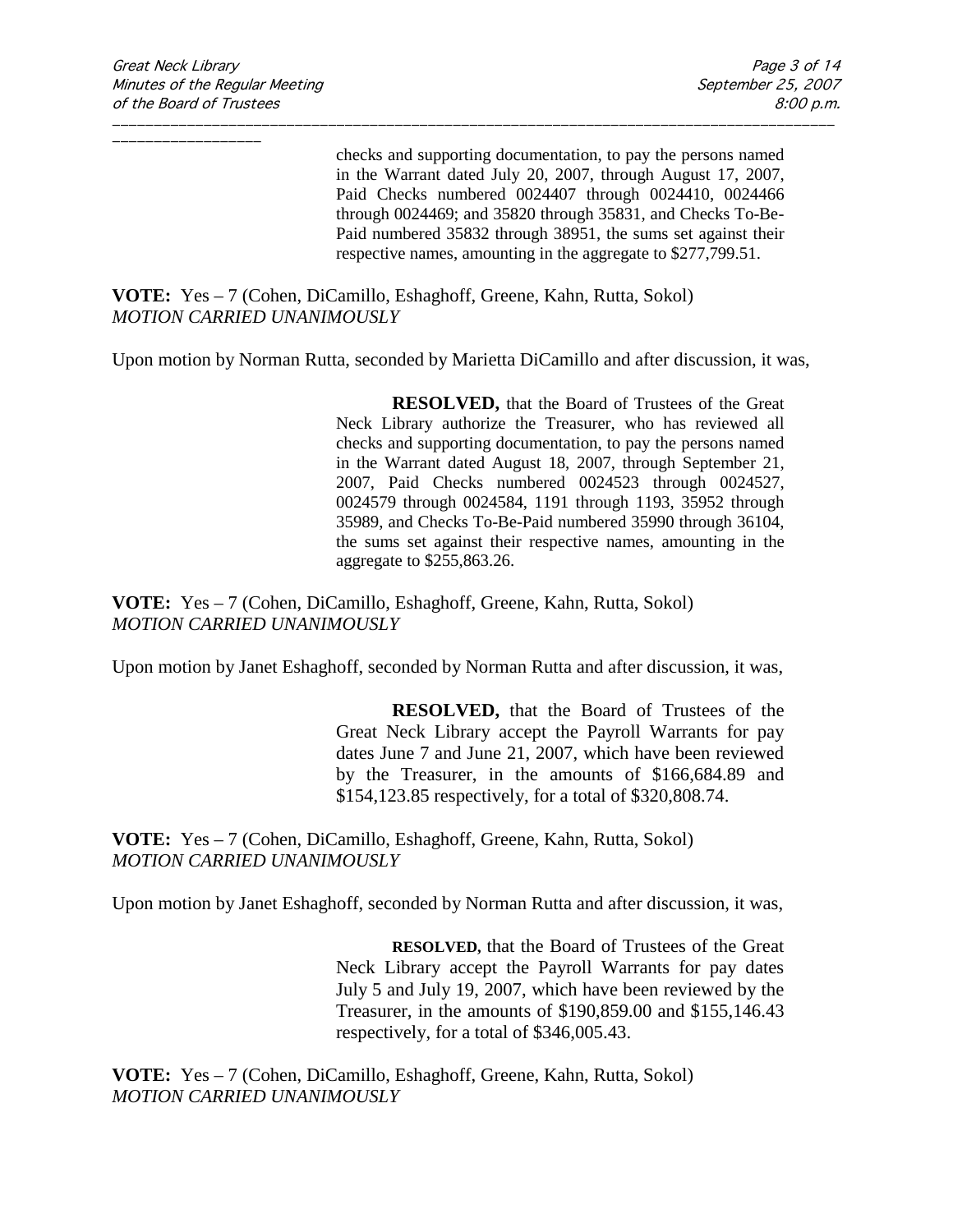checks and supporting documentation, to pay the persons named in the Warrant dated July 20, 2007, through August 17, 2007, Paid Checks numbered 0024407 through 0024410, 0024466 through 0024469; and 35820 through 35831, and Checks To-Be-Paid numbered 35832 through 38951, the sums set against their respective names, amounting in the aggregate to \$277,799.51.

**VOTE:** Yes – 7 (Cohen, DiCamillo, Eshaghoff, Greene, Kahn, Rutta, Sokol) *MOTION CARRIED UNANIMOUSLY*

Upon motion by Norman Rutta, seconded by Marietta DiCamillo and after discussion, it was,

\_\_\_\_\_\_\_\_\_\_\_\_\_\_\_\_\_\_\_\_\_\_\_\_\_\_\_\_\_\_\_\_\_\_\_\_\_\_\_\_\_\_\_\_\_\_\_\_\_\_\_\_\_\_\_\_\_\_\_\_\_\_\_\_\_\_\_\_\_\_\_\_\_\_\_\_\_\_\_\_\_\_\_\_\_\_\_

**RESOLVED,** that the Board of Trustees of the Great Neck Library authorize the Treasurer, who has reviewed all checks and supporting documentation, to pay the persons named in the Warrant dated August 18, 2007, through September 21, 2007, Paid Checks numbered 0024523 through 0024527, 0024579 through 0024584, 1191 through 1193, 35952 through 35989, and Checks To-Be-Paid numbered 35990 through 36104, the sums set against their respective names, amounting in the aggregate to \$255,863.26.

**VOTE:** Yes – 7 (Cohen, DiCamillo, Eshaghoff, Greene, Kahn, Rutta, Sokol) *MOTION CARRIED UNANIMOUSLY*

Upon motion by Janet Eshaghoff, seconded by Norman Rutta and after discussion, it was,

**RESOLVED,** that the Board of Trustees of the Great Neck Library accept the Payroll Warrants for pay dates June 7 and June 21, 2007, which have been reviewed by the Treasurer, in the amounts of \$166,684.89 and \$154,123.85 respectively, for a total of \$320,808.74.

**VOTE:** Yes – 7 (Cohen, DiCamillo, Eshaghoff, Greene, Kahn, Rutta, Sokol) *MOTION CARRIED UNANIMOUSLY*

Upon motion by Janet Eshaghoff, seconded by Norman Rutta and after discussion, it was,

**RESOLVED,** that the Board of Trustees of the Great Neck Library accept the Payroll Warrants for pay dates July 5 and July 19, 2007, which have been reviewed by the Treasurer, in the amounts of \$190,859.00 and \$155,146.43 respectively, for a total of \$346,005.43.

**VOTE:** Yes – 7 (Cohen, DiCamillo, Eshaghoff, Greene, Kahn, Rutta, Sokol) *MOTION CARRIED UNANIMOUSLY*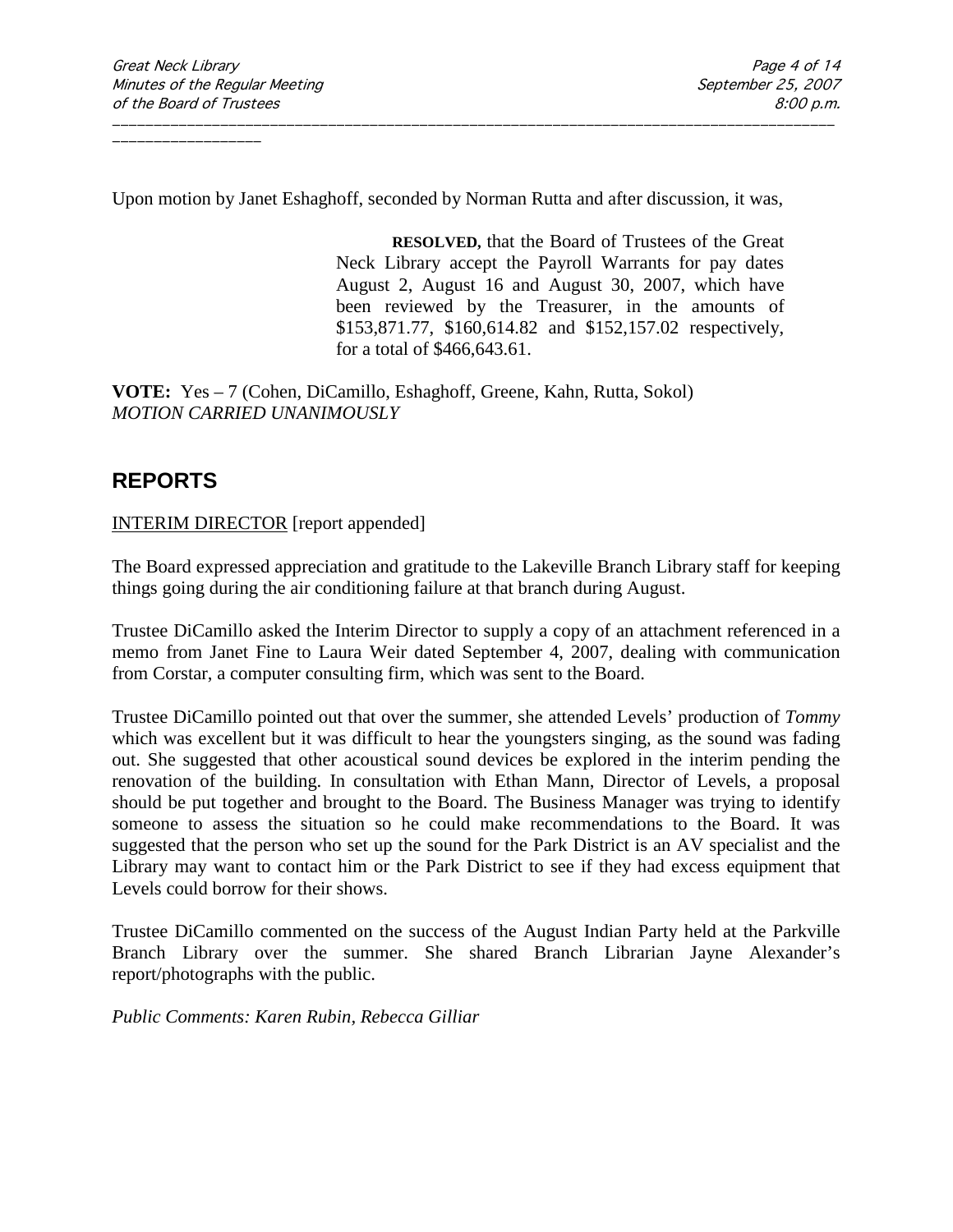Upon motion by Janet Eshaghoff, seconded by Norman Rutta and after discussion, it was,

\_\_\_\_\_\_\_\_\_\_\_\_\_\_\_\_\_\_\_\_\_\_\_\_\_\_\_\_\_\_\_\_\_\_\_\_\_\_\_\_\_\_\_\_\_\_\_\_\_\_\_\_\_\_\_\_\_\_\_\_\_\_\_\_\_\_\_\_\_\_\_\_\_\_\_\_\_\_\_\_\_\_\_\_\_\_\_

**RESOLVED,** that the Board of Trustees of the Great Neck Library accept the Payroll Warrants for pay dates August 2, August 16 and August 30, 2007, which have been reviewed by the Treasurer, in the amounts of \$153,871.77, \$160,614.82 and \$152,157.02 respectively, for a total of \$466,643.61.

**VOTE:** Yes – 7 (Cohen, DiCamillo, Eshaghoff, Greene, Kahn, Rutta, Sokol) *MOTION CARRIED UNANIMOUSLY*

## **REPORTS**

### INTERIM DIRECTOR [report appended]

The Board expressed appreciation and gratitude to the Lakeville Branch Library staff for keeping things going during the air conditioning failure at that branch during August.

Trustee DiCamillo asked the Interim Director to supply a copy of an attachment referenced in a memo from Janet Fine to Laura Weir dated September 4, 2007, dealing with communication from Corstar, a computer consulting firm, which was sent to the Board.

Trustee DiCamillo pointed out that over the summer, she attended Levels' production of *Tommy* which was excellent but it was difficult to hear the youngsters singing, as the sound was fading out. She suggested that other acoustical sound devices be explored in the interim pending the renovation of the building. In consultation with Ethan Mann, Director of Levels, a proposal should be put together and brought to the Board. The Business Manager was trying to identify someone to assess the situation so he could make recommendations to the Board. It was suggested that the person who set up the sound for the Park District is an AV specialist and the Library may want to contact him or the Park District to see if they had excess equipment that Levels could borrow for their shows.

Trustee DiCamillo commented on the success of the August Indian Party held at the Parkville Branch Library over the summer. She shared Branch Librarian Jayne Alexander's report/photographs with the public.

*Public Comments: Karen Rubin, Rebecca Gilliar*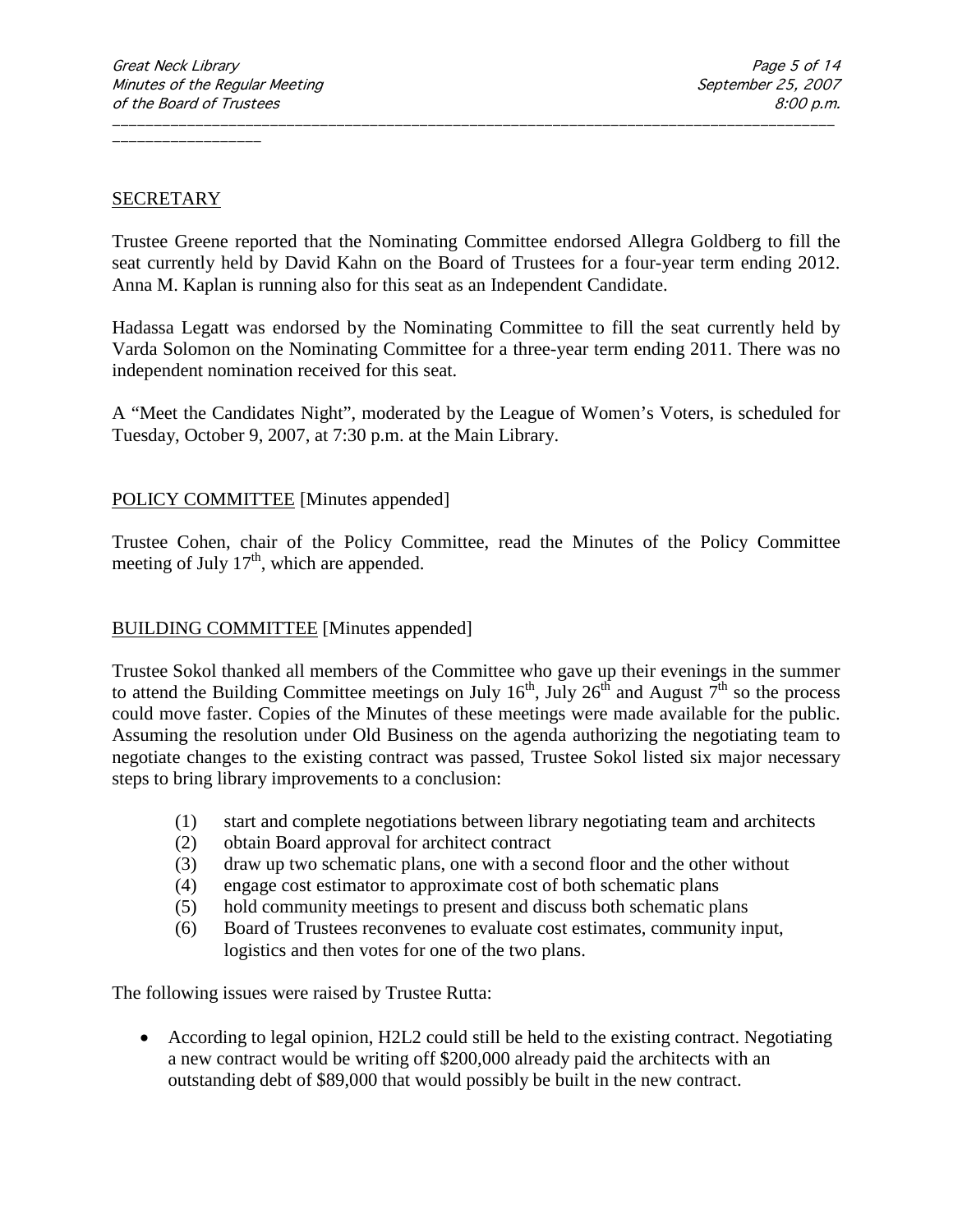#### **SECRETARY**

Trustee Greene reported that the Nominating Committee endorsed Allegra Goldberg to fill the seat currently held by David Kahn on the Board of Trustees for a four-year term ending 2012. Anna M. Kaplan is running also for this seat as an Independent Candidate.

\_\_\_\_\_\_\_\_\_\_\_\_\_\_\_\_\_\_\_\_\_\_\_\_\_\_\_\_\_\_\_\_\_\_\_\_\_\_\_\_\_\_\_\_\_\_\_\_\_\_\_\_\_\_\_\_\_\_\_\_\_\_\_\_\_\_\_\_\_\_\_\_\_\_\_\_\_\_\_\_\_\_\_\_\_\_\_

Hadassa Legatt was endorsed by the Nominating Committee to fill the seat currently held by Varda Solomon on the Nominating Committee for a three-year term ending 2011. There was no independent nomination received for this seat.

A "Meet the Candidates Night", moderated by the League of Women's Voters, is scheduled for Tuesday, October 9, 2007, at 7:30 p.m. at the Main Library.

### POLICY COMMITTEE [Minutes appended]

Trustee Cohen, chair of the Policy Committee, read the Minutes of the Policy Committee meeting of July  $17<sup>th</sup>$ , which are appended.

### BUILDING COMMITTEE [Minutes appended]

Trustee Sokol thanked all members of the Committee who gave up their evenings in the summer to attend the Building Committee meetings on July  $16^{th}$ , July  $26^{th}$  and August  $7^{th}$  so the process could move faster. Copies of the Minutes of these meetings were made available for the public. Assuming the resolution under Old Business on the agenda authorizing the negotiating team to negotiate changes to the existing contract was passed, Trustee Sokol listed six major necessary steps to bring library improvements to a conclusion:

- (1) start and complete negotiations between library negotiating team and architects
- (2) obtain Board approval for architect contract
- (3) draw up two schematic plans, one with a second floor and the other without
- (4) engage cost estimator to approximate cost of both schematic plans
- (5) hold community meetings to present and discuss both schematic plans
- (6) Board of Trustees reconvenes to evaluate cost estimates, community input, logistics and then votes for one of the two plans.

The following issues were raised by Trustee Rutta:

• According to legal opinion, H2L2 could still be held to the existing contract. Negotiating a new contract would be writing off \$200,000 already paid the architects with an outstanding debt of \$89,000 that would possibly be built in the new contract.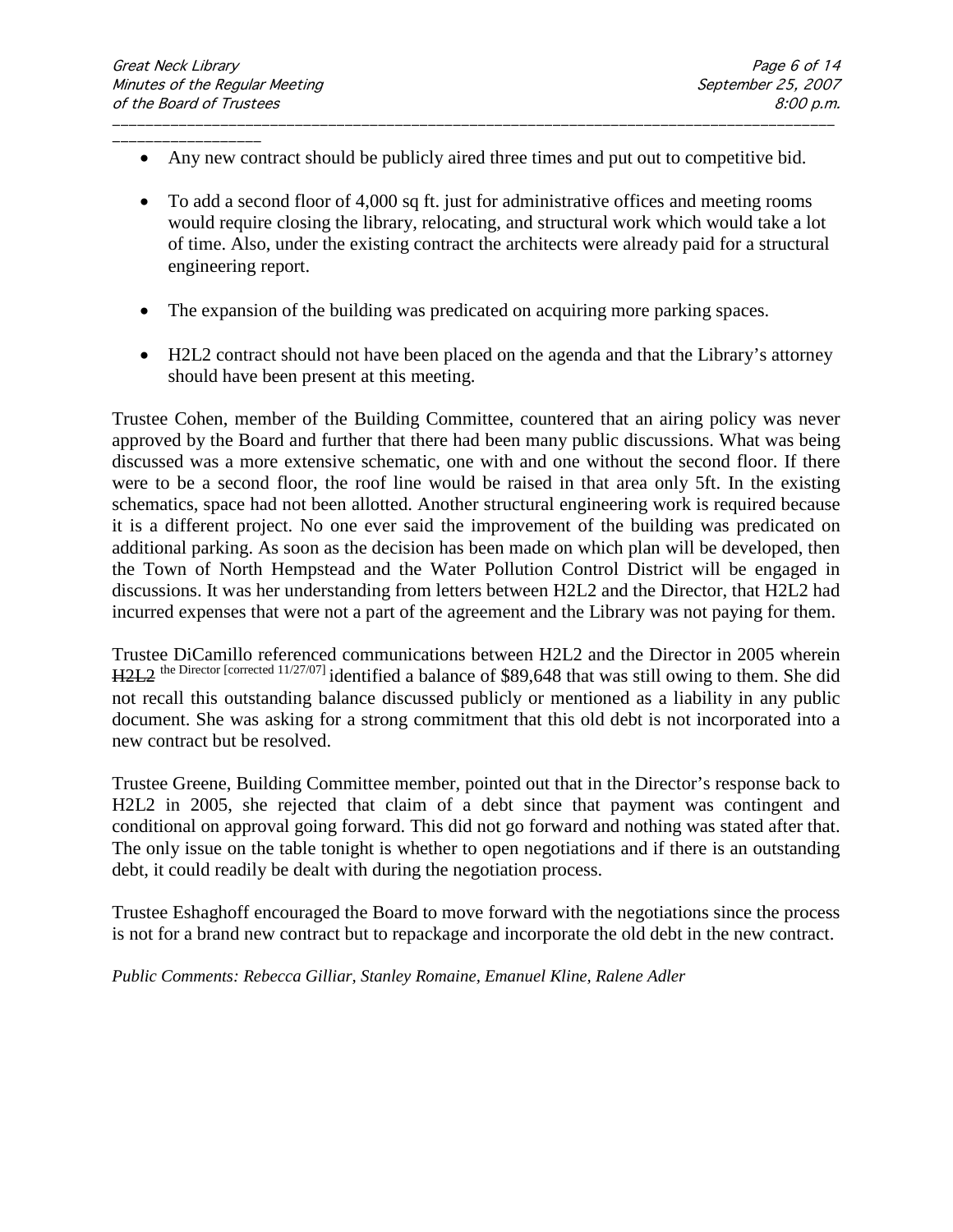• Any new contract should be publicly aired three times and put out to competitive bid.

\_\_\_\_\_\_\_\_\_\_\_\_\_\_\_\_\_\_\_\_\_\_\_\_\_\_\_\_\_\_\_\_\_\_\_\_\_\_\_\_\_\_\_\_\_\_\_\_\_\_\_\_\_\_\_\_\_\_\_\_\_\_\_\_\_\_\_\_\_\_\_\_\_\_\_\_\_\_\_\_\_\_\_\_\_\_\_

- To add a second floor of 4,000 sq ft. just for administrative offices and meeting rooms would require closing the library, relocating, and structural work which would take a lot of time. Also, under the existing contract the architects were already paid for a structural engineering report.
- The expansion of the building was predicated on acquiring more parking spaces.
- H2L2 contract should not have been placed on the agenda and that the Library's attorney should have been present at this meeting.

Trustee Cohen, member of the Building Committee, countered that an airing policy was never approved by the Board and further that there had been many public discussions. What was being discussed was a more extensive schematic, one with and one without the second floor. If there were to be a second floor, the roof line would be raised in that area only 5ft. In the existing schematics, space had not been allotted. Another structural engineering work is required because it is a different project. No one ever said the improvement of the building was predicated on additional parking. As soon as the decision has been made on which plan will be developed, then the Town of North Hempstead and the Water Pollution Control District will be engaged in discussions. It was her understanding from letters between H2L2 and the Director, that H2L2 had incurred expenses that were not a part of the agreement and the Library was not paying for them.

Trustee DiCamillo referenced communications between H2L2 and the Director in 2005 wherein H2L2 the Director [corrected 11/27/07] identified a balance of \$89,648 that was still owing to them. She did not recall this outstanding balance discussed publicly or mentioned as a liability in any public document. She was asking for a strong commitment that this old debt is not incorporated into a new contract but be resolved.

Trustee Greene, Building Committee member, pointed out that in the Director's response back to H2L2 in 2005, she rejected that claim of a debt since that payment was contingent and conditional on approval going forward. This did not go forward and nothing was stated after that. The only issue on the table tonight is whether to open negotiations and if there is an outstanding debt, it could readily be dealt with during the negotiation process.

Trustee Eshaghoff encouraged the Board to move forward with the negotiations since the process is not for a brand new contract but to repackage and incorporate the old debt in the new contract.

*Public Comments: Rebecca Gilliar, Stanley Romaine, Emanuel Kline, Ralene Adler*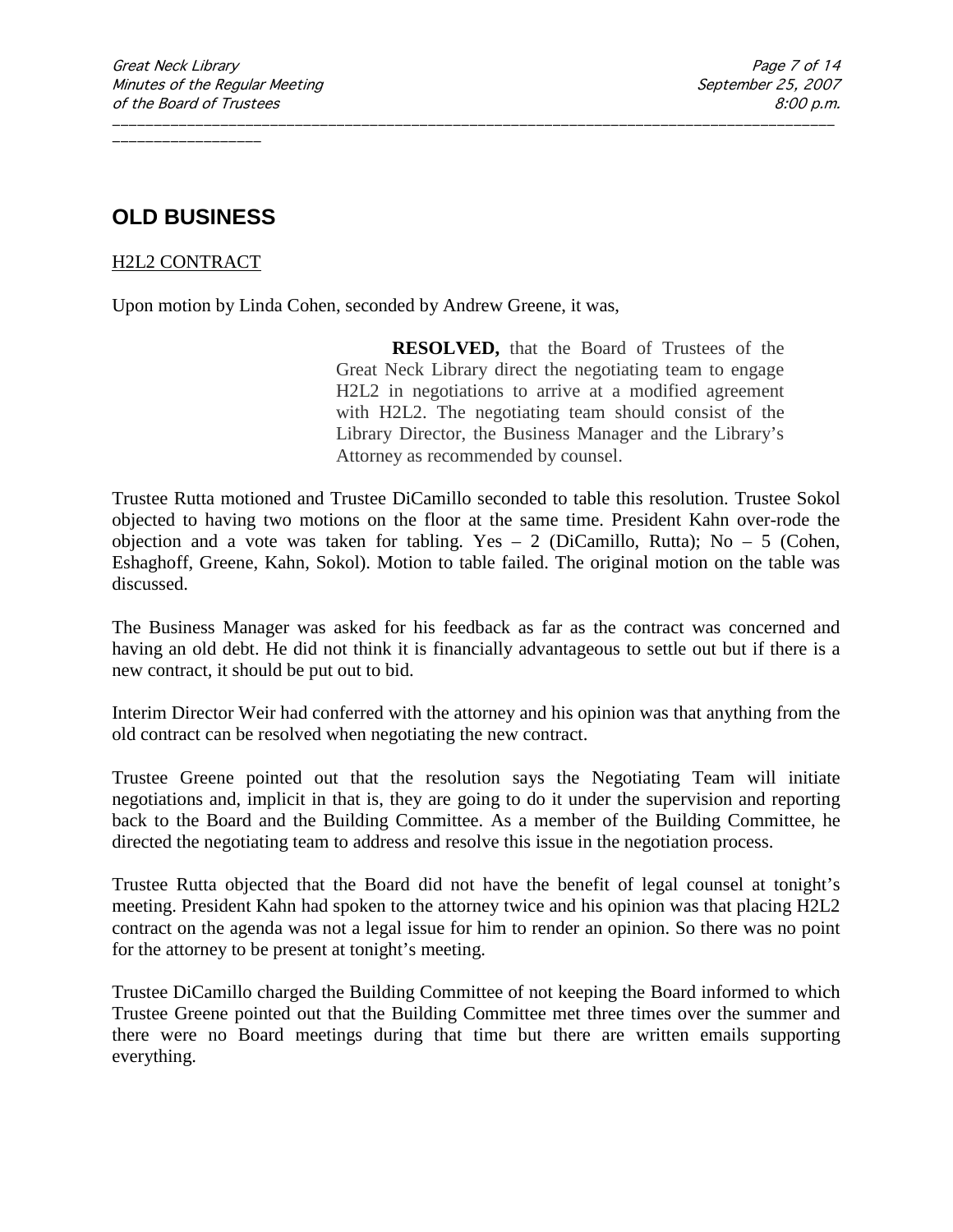# **OLD BUSINESS**

### H2L2 CONTRACT

Upon motion by Linda Cohen, seconded by Andrew Greene, it was,

**RESOLVED,** that the Board of Trustees of the Great Neck Library direct the negotiating team to engage H2L2 in negotiations to arrive at a modified agreement with H2L2. The negotiating team should consist of the Library Director, the Business Manager and the Library's Attorney as recommended by counsel.

Trustee Rutta motioned and Trustee DiCamillo seconded to table this resolution. Trustee Sokol objected to having two motions on the floor at the same time. President Kahn over-rode the objection and a vote was taken for tabling. Yes  $-2$  (DiCamillo, Rutta); No  $-5$  (Cohen, Eshaghoff, Greene, Kahn, Sokol). Motion to table failed. The original motion on the table was discussed.

\_\_\_\_\_\_\_\_\_\_\_\_\_\_\_\_\_\_\_\_\_\_\_\_\_\_\_\_\_\_\_\_\_\_\_\_\_\_\_\_\_\_\_\_\_\_\_\_\_\_\_\_\_\_\_\_\_\_\_\_\_\_\_\_\_\_\_\_\_\_\_\_\_\_\_\_\_\_\_\_\_\_\_\_\_\_\_

The Business Manager was asked for his feedback as far as the contract was concerned and having an old debt. He did not think it is financially advantageous to settle out but if there is a new contract, it should be put out to bid.

Interim Director Weir had conferred with the attorney and his opinion was that anything from the old contract can be resolved when negotiating the new contract.

Trustee Greene pointed out that the resolution says the Negotiating Team will initiate negotiations and, implicit in that is, they are going to do it under the supervision and reporting back to the Board and the Building Committee. As a member of the Building Committee, he directed the negotiating team to address and resolve this issue in the negotiation process.

Trustee Rutta objected that the Board did not have the benefit of legal counsel at tonight's meeting. President Kahn had spoken to the attorney twice and his opinion was that placing H2L2 contract on the agenda was not a legal issue for him to render an opinion. So there was no point for the attorney to be present at tonight's meeting.

Trustee DiCamillo charged the Building Committee of not keeping the Board informed to which Trustee Greene pointed out that the Building Committee met three times over the summer and there were no Board meetings during that time but there are written emails supporting everything.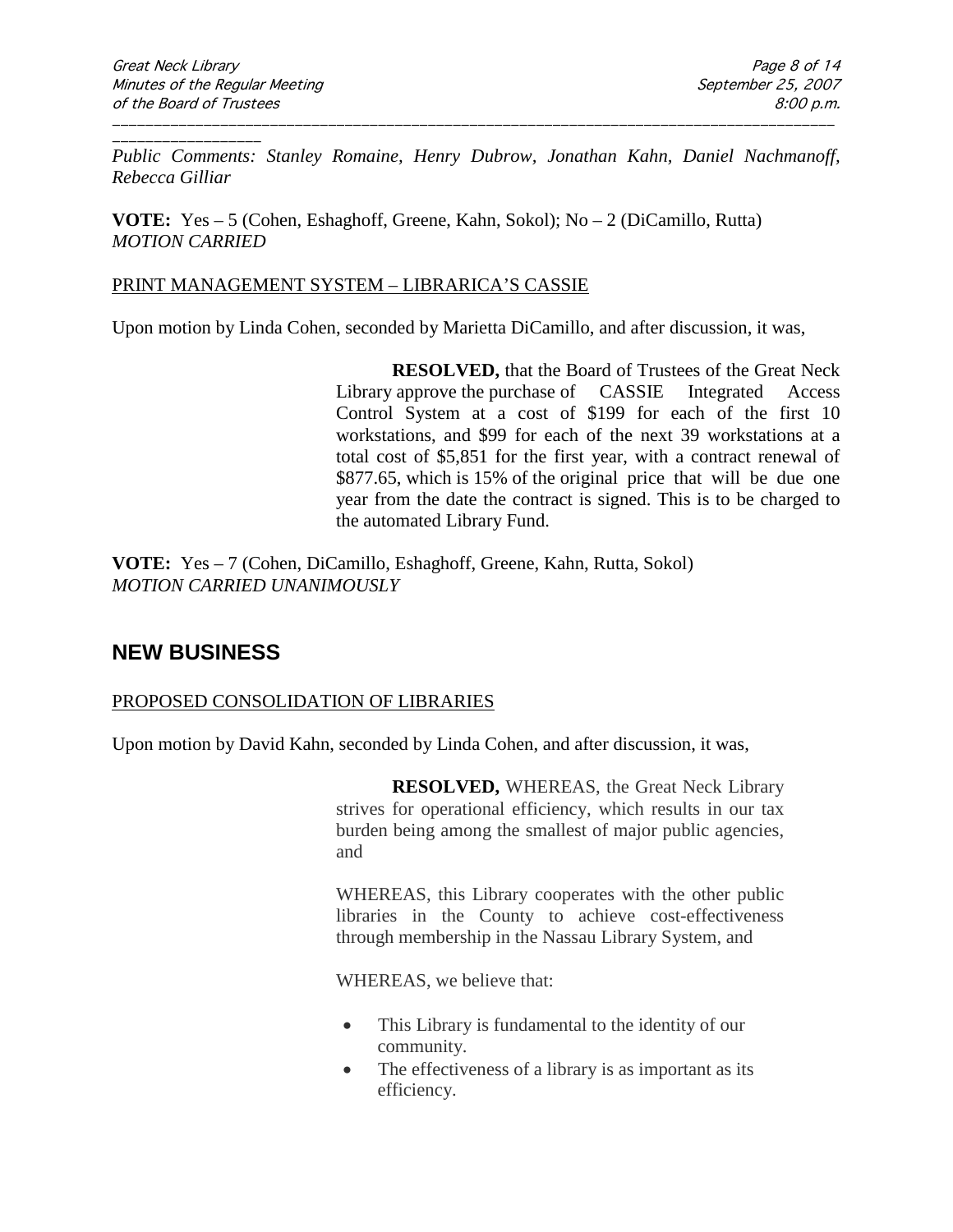\_\_\_\_\_\_\_\_\_\_\_\_\_\_\_\_\_\_ *Public Comments: Stanley Romaine, Henry Dubrow, Jonathan Kahn, Daniel Nachmanoff, Rebecca Gilliar*

\_\_\_\_\_\_\_\_\_\_\_\_\_\_\_\_\_\_\_\_\_\_\_\_\_\_\_\_\_\_\_\_\_\_\_\_\_\_\_\_\_\_\_\_\_\_\_\_\_\_\_\_\_\_\_\_\_\_\_\_\_\_\_\_\_\_\_\_\_\_\_\_\_\_\_\_\_\_\_\_\_\_\_\_\_\_\_

**VOTE:** Yes – 5 (Cohen, Eshaghoff, Greene, Kahn, Sokol); No – 2 (DiCamillo, Rutta) *MOTION CARRIED* 

#### PRINT MANAGEMENT SYSTEM – LIBRARICA'S CASSIE

Upon motion by Linda Cohen, seconded by Marietta DiCamillo, and after discussion, it was,

**RESOLVED,** that the Board of Trustees of the Great Neck Library approve the purchase of CASSIE Integrated Access Control System at a cost of \$199 for each of the first 10 workstations, and \$99 for each of the next 39 workstations at a total cost of \$5,851 for the first year, with a contract renewal of \$877.65, which is 15% of the original price that will be due one year from the date the contract is signed. This is to be charged to the automated Library Fund.

**VOTE:** Yes – 7 (Cohen, DiCamillo, Eshaghoff, Greene, Kahn, Rutta, Sokol) *MOTION CARRIED UNANIMOUSLY*

## **NEW BUSINESS**

### PROPOSED CONSOLIDATION OF LIBRARIES

Upon motion by David Kahn, seconded by Linda Cohen, and after discussion, it was,

**RESOLVED,** WHEREAS, the Great Neck Library strives for operational efficiency, which results in our tax burden being among the smallest of major public agencies, and

WHEREAS, this Library cooperates with the other public libraries in the County to achieve cost-effectiveness through membership in the Nassau Library System, and

WHEREAS, we believe that:

- This Library is fundamental to the identity of our community.
- The effectiveness of a library is as important as its efficiency.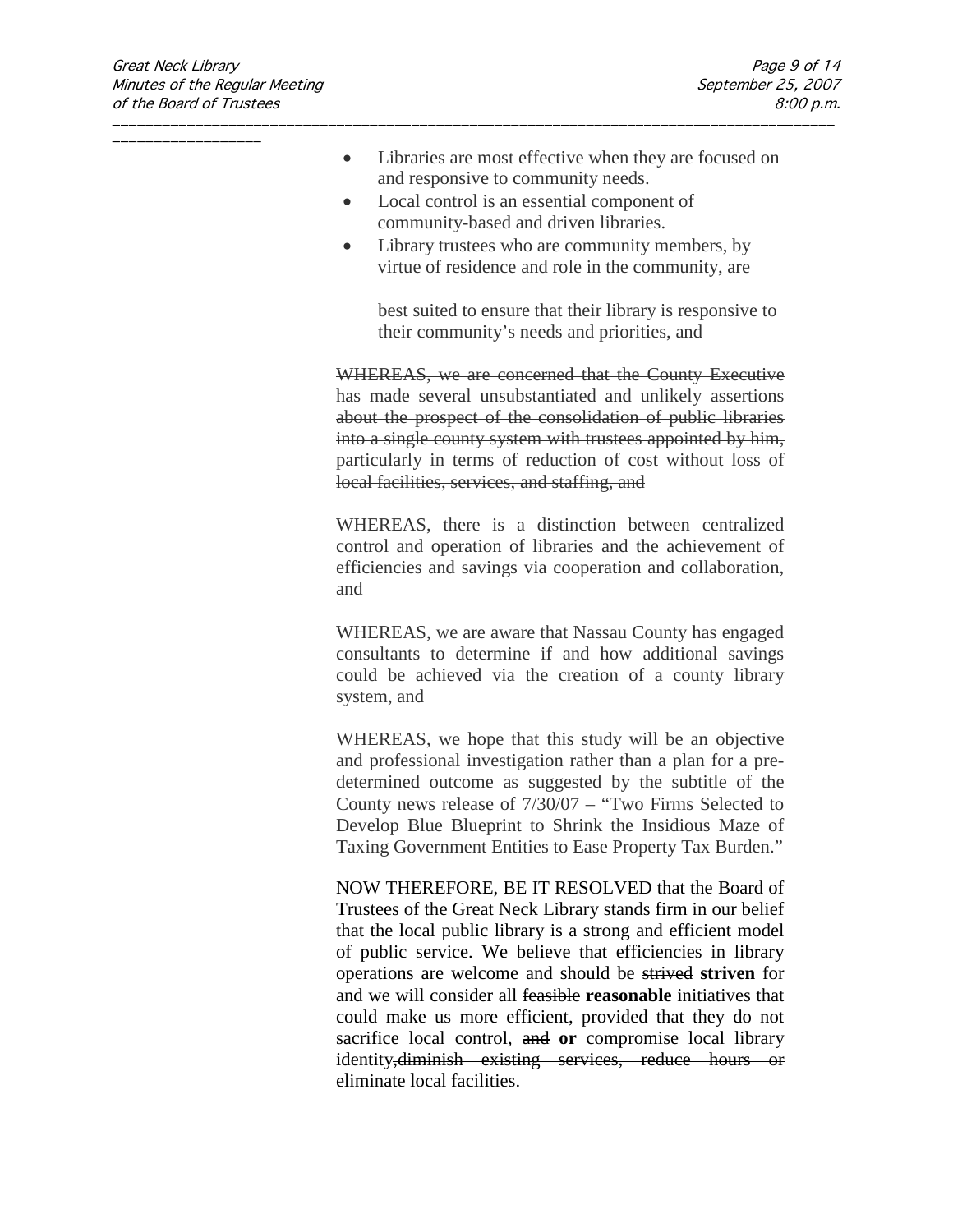- Libraries are most effective when they are focused on and responsive to community needs.
- Local control is an essential component of community-based and driven libraries.

\_\_\_\_\_\_\_\_\_\_\_\_\_\_\_\_\_\_\_\_\_\_\_\_\_\_\_\_\_\_\_\_\_\_\_\_\_\_\_\_\_\_\_\_\_\_\_\_\_\_\_\_\_\_\_\_\_\_\_\_\_\_\_\_\_\_\_\_\_\_\_\_\_\_\_\_\_\_\_\_\_\_\_\_\_\_\_

• Library trustees who are community members, by virtue of residence and role in the community, are

best suited to ensure that their library is responsive to their community's needs and priorities, and

WHEREAS, we are concerned that the County Executive has made several unsubstantiated and unlikely assertions about the prospect of the consolidation of public libraries into a single county system with trustees appointed by him, particularly in terms of reduction of cost without loss of local facilities, services, and staffing, and

WHEREAS, there is a distinction between centralized control and operation of libraries and the achievement of efficiencies and savings via cooperation and collaboration, and

WHEREAS, we are aware that Nassau County has engaged consultants to determine if and how additional savings could be achieved via the creation of a county library system, and

WHEREAS, we hope that this study will be an objective and professional investigation rather than a plan for a predetermined outcome as suggested by the subtitle of the County news release of 7/30/07 – "Two Firms Selected to Develop Blue Blueprint to Shrink the Insidious Maze of Taxing Government Entities to Ease Property Tax Burden."

NOW THEREFORE, BE IT RESOLVED that the Board of Trustees of the Great Neck Library stands firm in our belief that the local public library is a strong and efficient model of public service. We believe that efficiencies in library operations are welcome and should be strived **striven** for and we will consider all feasible **reasonable** initiatives that could make us more efficient, provided that they do not sacrifice local control, and **or** compromise local library identity, diminish existing services, reduce hours or eliminate local facilities.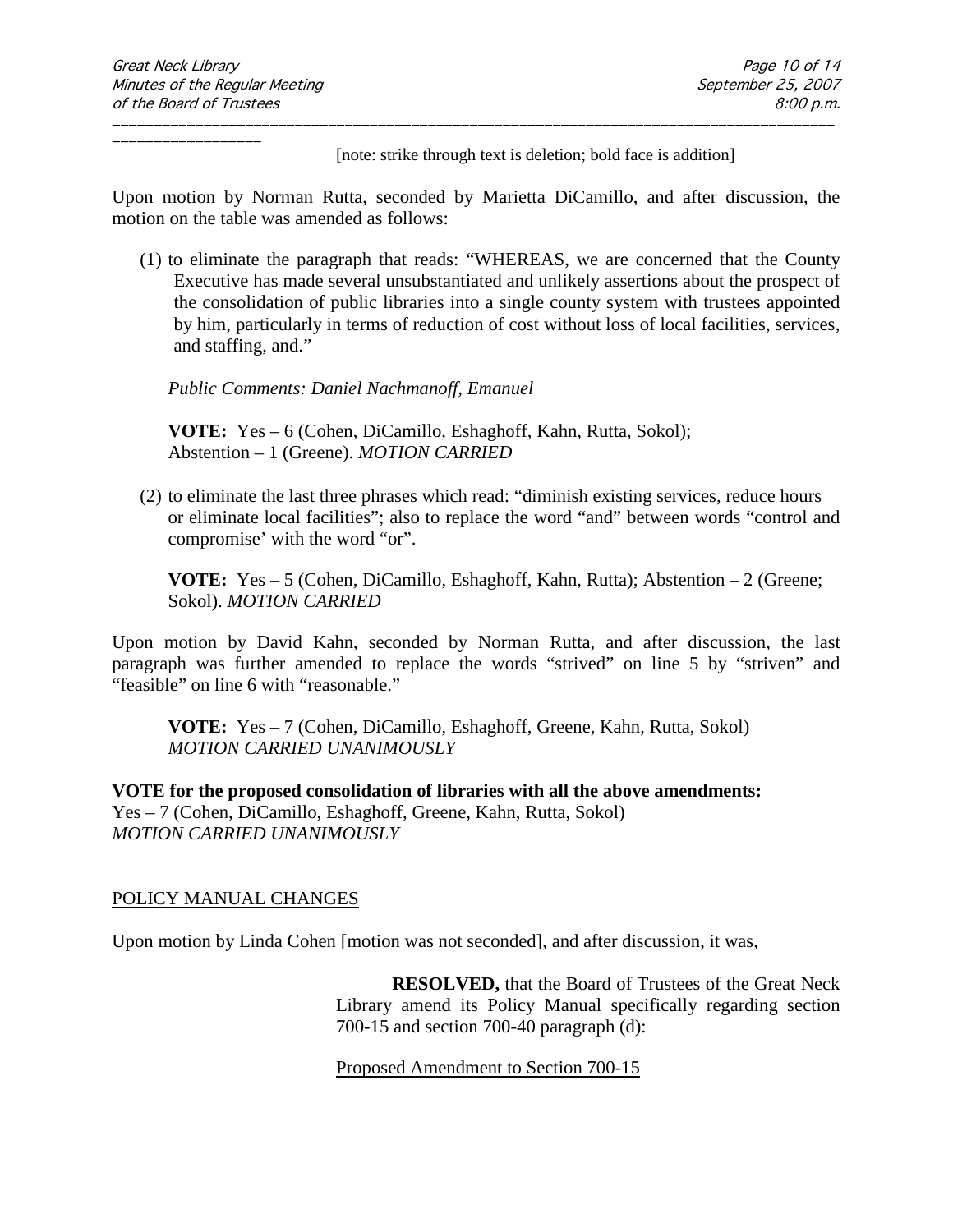[note: strike through text is deletion; bold face is addition]

Upon motion by Norman Rutta, seconded by Marietta DiCamillo, and after discussion, the motion on the table was amended as follows:

\_\_\_\_\_\_\_\_\_\_\_\_\_\_\_\_\_\_\_\_\_\_\_\_\_\_\_\_\_\_\_\_\_\_\_\_\_\_\_\_\_\_\_\_\_\_\_\_\_\_\_\_\_\_\_\_\_\_\_\_\_\_\_\_\_\_\_\_\_\_\_\_\_\_\_\_\_\_\_\_\_\_\_\_\_\_\_

(1) to eliminate the paragraph that reads: "WHEREAS, we are concerned that the County Executive has made several unsubstantiated and unlikely assertions about the prospect of the consolidation of public libraries into a single county system with trustees appointed by him, particularly in terms of reduction of cost without loss of local facilities, services, and staffing, and."

*Public Comments: Daniel Nachmanoff, Emanuel*

**VOTE:** Yes – 6 (Cohen, DiCamillo, Eshaghoff, Kahn, Rutta, Sokol); Abstention – 1 (Greene). *MOTION CARRIED* 

(2) to eliminate the last three phrases which read: "diminish existing services, reduce hours or eliminate local facilities"; also to replace the word "and" between words "control and compromise' with the word "or".

**VOTE:** Yes – 5 (Cohen, DiCamillo, Eshaghoff, Kahn, Rutta); Abstention – 2 (Greene; Sokol). *MOTION CARRIED* 

Upon motion by David Kahn, seconded by Norman Rutta, and after discussion, the last paragraph was further amended to replace the words "strived" on line 5 by "striven" and "feasible" on line 6 with "reasonable."

**VOTE:** Yes – 7 (Cohen, DiCamillo, Eshaghoff, Greene, Kahn, Rutta, Sokol) *MOTION CARRIED UNANIMOUSLY*

**VOTE for the proposed consolidation of libraries with all the above amendments:**  Yes – 7 (Cohen, DiCamillo, Eshaghoff, Greene, Kahn, Rutta, Sokol) *MOTION CARRIED UNANIMOUSLY*

### POLICY MANUAL CHANGES

Upon motion by Linda Cohen [motion was not seconded], and after discussion, it was,

**RESOLVED,** that the Board of Trustees of the Great Neck Library amend its Policy Manual specifically regarding section 700-15 and section 700-40 paragraph (d):

Proposed Amendment to Section 700-15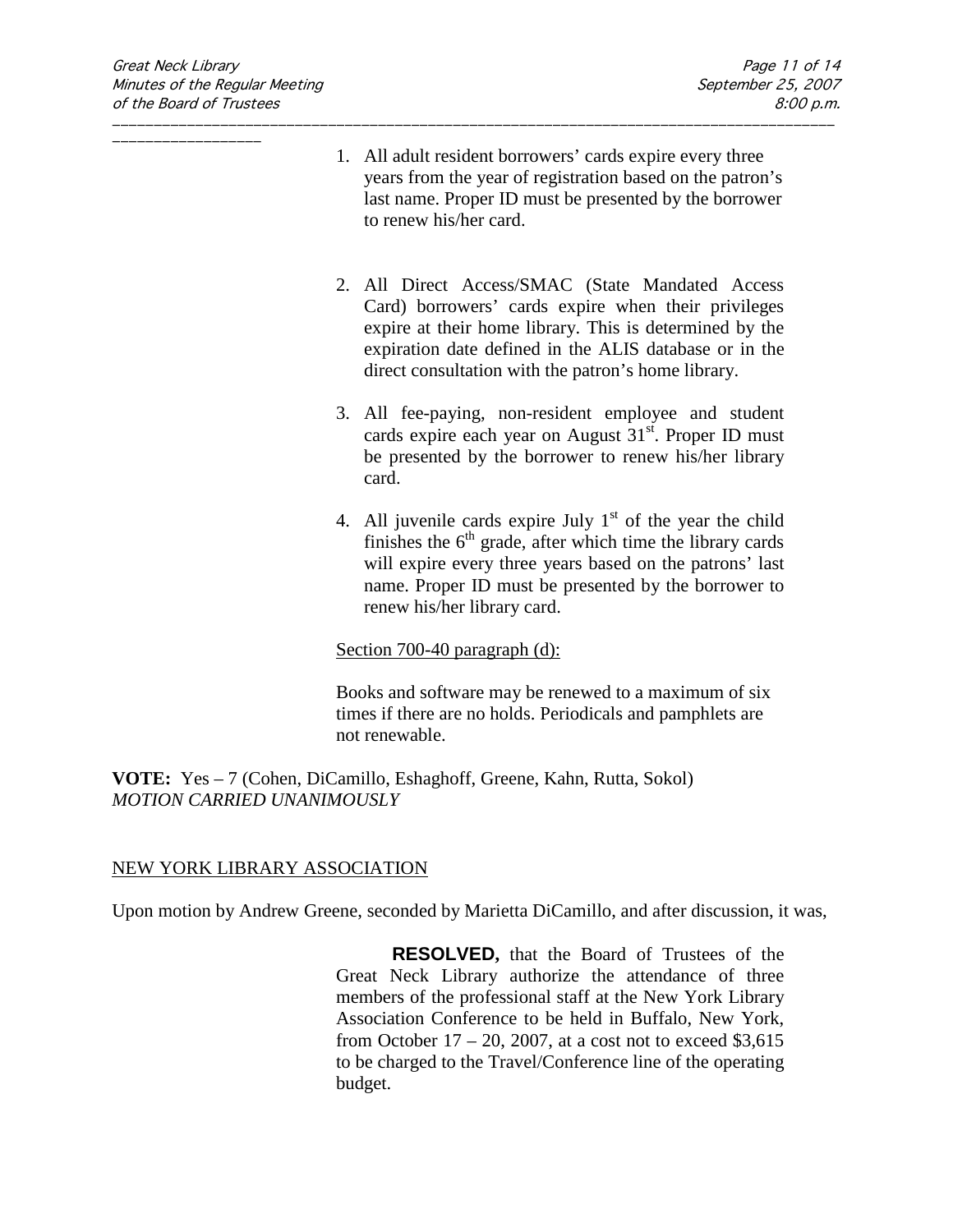1. All adult resident borrowers' cards expire every three years from the year of registration based on the patron's last name. Proper ID must be presented by the borrower to renew his/her card.

\_\_\_\_\_\_\_\_\_\_\_\_\_\_\_\_\_\_\_\_\_\_\_\_\_\_\_\_\_\_\_\_\_\_\_\_\_\_\_\_\_\_\_\_\_\_\_\_\_\_\_\_\_\_\_\_\_\_\_\_\_\_\_\_\_\_\_\_\_\_\_\_\_\_\_\_\_\_\_\_\_\_\_\_\_\_\_

- 2. All Direct Access/SMAC (State Mandated Access Card) borrowers' cards expire when their privileges expire at their home library. This is determined by the expiration date defined in the ALIS database or in the direct consultation with the patron's home library.
- 3. All fee-paying, non-resident employee and student cards expire each year on August  $31<sup>st</sup>$ . Proper ID must be presented by the borrower to renew his/her library card.
- 4. All juvenile cards expire July  $1<sup>st</sup>$  of the year the child finishes the  $6<sup>th</sup>$  grade, after which time the library cards will expire every three years based on the patrons' last name. Proper ID must be presented by the borrower to renew his/her library card.

### Section 700-40 paragraph (d):

Books and software may be renewed to a maximum of six times if there are no holds. Periodicals and pamphlets are not renewable.

**VOTE:** Yes – 7 (Cohen, DiCamillo, Eshaghoff, Greene, Kahn, Rutta, Sokol) *MOTION CARRIED UNANIMOUSLY*

### NEW YORK LIBRARY ASSOCIATION

Upon motion by Andrew Greene, seconded by Marietta DiCamillo, and after discussion, it was,

**RESOLVED,** that the Board of Trustees of the Great Neck Library authorize the attendance of three members of the professional staff at the New York Library Association Conference to be held in Buffalo, New York, from October  $17 - 20$ , 2007, at a cost not to exceed \$3,615 to be charged to the Travel/Conference line of the operating budget.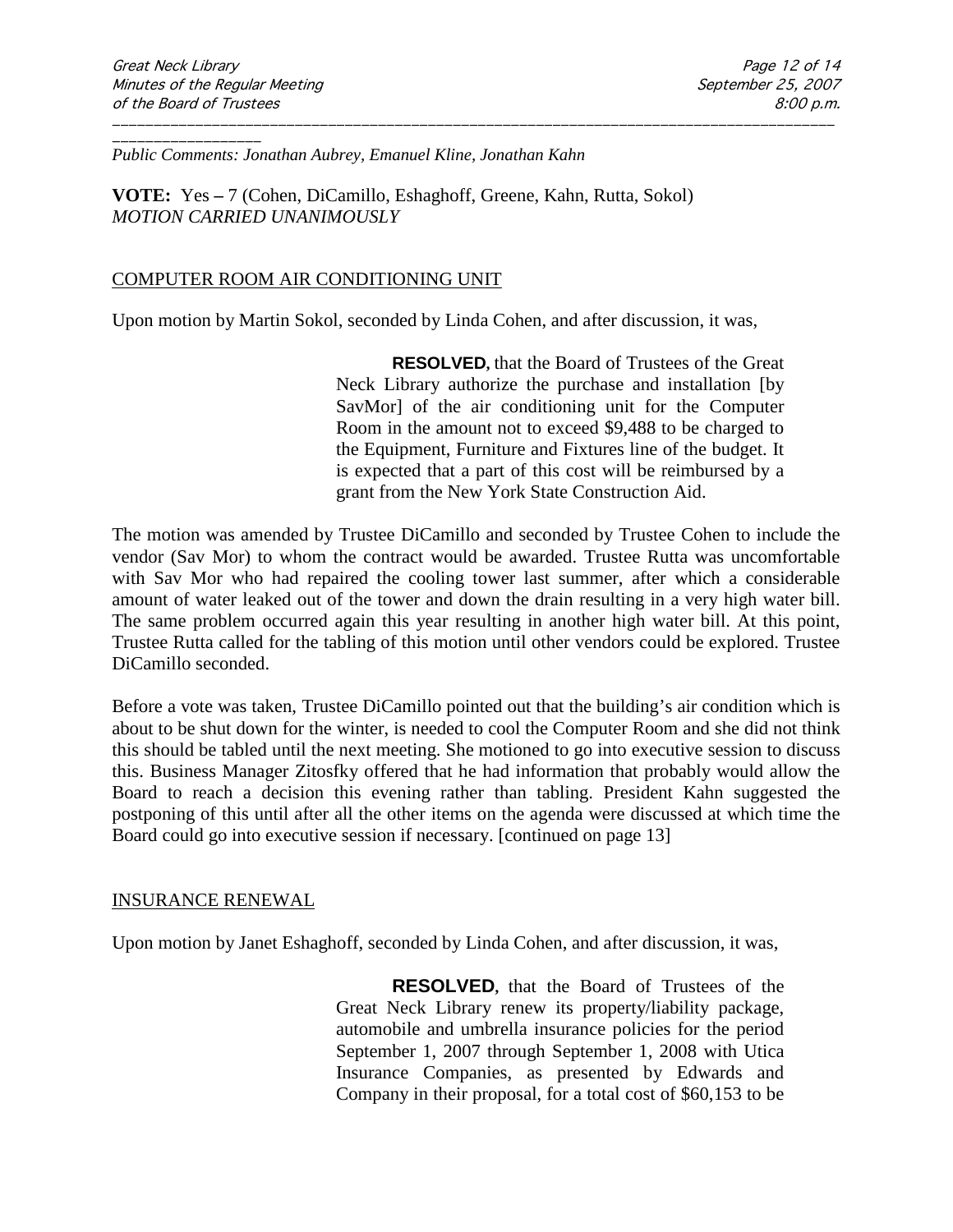\_\_\_\_\_\_\_\_\_\_\_\_\_\_\_\_\_\_ *Public Comments: Jonathan Aubrey, Emanuel Kline, Jonathan Kahn*

**VOTE:** Yes **–** 7 (Cohen, DiCamillo, Eshaghoff, Greene, Kahn, Rutta, Sokol) *MOTION CARRIED UNANIMOUSLY*

### COMPUTER ROOM AIR CONDITIONING UNIT

Upon motion by Martin Sokol, seconded by Linda Cohen, and after discussion, it was,

\_\_\_\_\_\_\_\_\_\_\_\_\_\_\_\_\_\_\_\_\_\_\_\_\_\_\_\_\_\_\_\_\_\_\_\_\_\_\_\_\_\_\_\_\_\_\_\_\_\_\_\_\_\_\_\_\_\_\_\_\_\_\_\_\_\_\_\_\_\_\_\_\_\_\_\_\_\_\_\_\_\_\_\_\_\_\_

**RESOLVED,** that the Board of Trustees of the Great Neck Library authorize the purchase and installation [by SavMor] of the air conditioning unit for the Computer Room in the amount not to exceed \$9,488 to be charged to the Equipment, Furniture and Fixtures line of the budget. It is expected that a part of this cost will be reimbursed by a grant from the New York State Construction Aid.

The motion was amended by Trustee DiCamillo and seconded by Trustee Cohen to include the vendor (Sav Mor) to whom the contract would be awarded. Trustee Rutta was uncomfortable with Sav Mor who had repaired the cooling tower last summer, after which a considerable amount of water leaked out of the tower and down the drain resulting in a very high water bill. The same problem occurred again this year resulting in another high water bill. At this point, Trustee Rutta called for the tabling of this motion until other vendors could be explored. Trustee DiCamillo seconded.

Before a vote was taken, Trustee DiCamillo pointed out that the building's air condition which is about to be shut down for the winter, is needed to cool the Computer Room and she did not think this should be tabled until the next meeting. She motioned to go into executive session to discuss this. Business Manager Zitosfky offered that he had information that probably would allow the Board to reach a decision this evening rather than tabling. President Kahn suggested the postponing of this until after all the other items on the agenda were discussed at which time the Board could go into executive session if necessary. [continued on page 13]

#### INSURANCE RENEWAL

Upon motion by Janet Eshaghoff, seconded by Linda Cohen, and after discussion, it was,

**RESOLVED,** that the Board of Trustees of the Great Neck Library renew its property/liability package, automobile and umbrella insurance policies for the period September 1, 2007 through September 1, 2008 with Utica Insurance Companies, as presented by Edwards and Company in their proposal, for a total cost of \$60,153 to be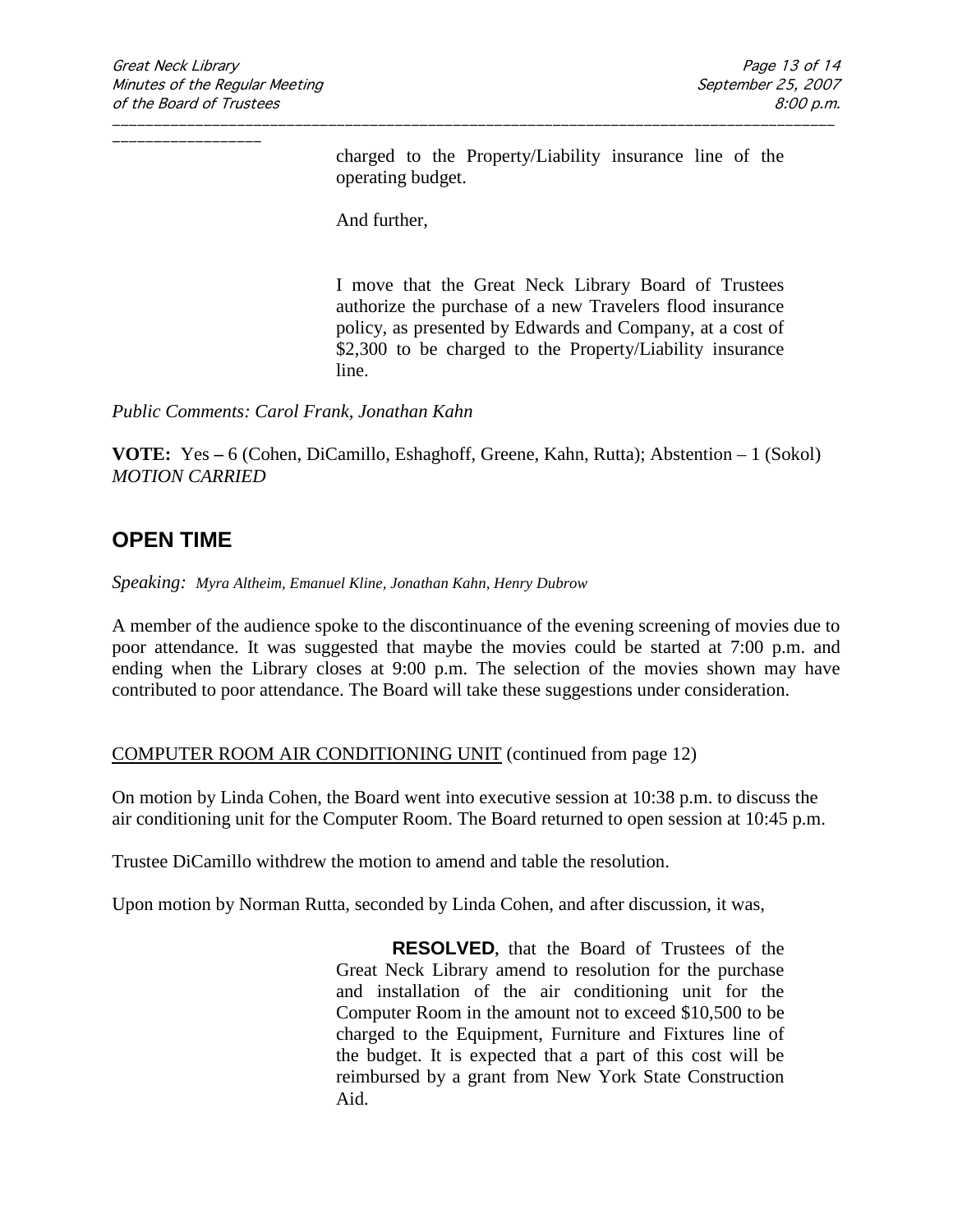charged to the Property/Liability insurance line of the operating budget.

And further,

I move that the Great Neck Library Board of Trustees authorize the purchase of a new Travelers flood insurance policy, as presented by Edwards and Company, at a cost of \$2,300 to be charged to the Property/Liability insurance line.

*Public Comments: Carol Frank, Jonathan Kahn* 

**VOTE:** Yes **–** 6 (Cohen, DiCamillo, Eshaghoff, Greene, Kahn, Rutta); Abstention – 1 (Sokol) *MOTION CARRIED* 

\_\_\_\_\_\_\_\_\_\_\_\_\_\_\_\_\_\_\_\_\_\_\_\_\_\_\_\_\_\_\_\_\_\_\_\_\_\_\_\_\_\_\_\_\_\_\_\_\_\_\_\_\_\_\_\_\_\_\_\_\_\_\_\_\_\_\_\_\_\_\_\_\_\_\_\_\_\_\_\_\_\_\_\_\_\_\_

## **OPEN TIME**

*Speaking: Myra Altheim, Emanuel Kline, Jonathan Kahn, Henry Dubrow*

A member of the audience spoke to the discontinuance of the evening screening of movies due to poor attendance. It was suggested that maybe the movies could be started at 7:00 p.m. and ending when the Library closes at 9:00 p.m. The selection of the movies shown may have contributed to poor attendance. The Board will take these suggestions under consideration.

### COMPUTER ROOM AIR CONDITIONING UNIT (continued from page 12)

On motion by Linda Cohen, the Board went into executive session at 10:38 p.m. to discuss the air conditioning unit for the Computer Room. The Board returned to open session at 10:45 p.m.

Trustee DiCamillo withdrew the motion to amend and table the resolution.

Upon motion by Norman Rutta, seconded by Linda Cohen, and after discussion, it was,

**RESOLVED,** that the Board of Trustees of the Great Neck Library amend to resolution for the purchase and installation of the air conditioning unit for the Computer Room in the amount not to exceed \$10,500 to be charged to the Equipment, Furniture and Fixtures line of the budget. It is expected that a part of this cost will be reimbursed by a grant from New York State Construction Aid.